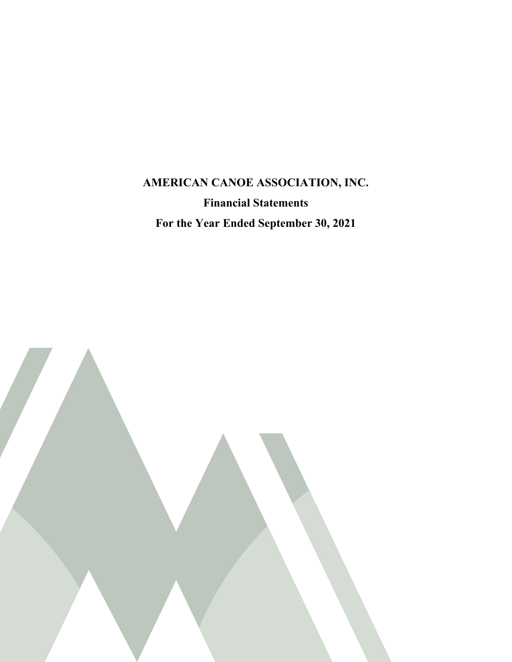# **AMERICAN CANOE ASSOCIATION, INC. Financial Statements For the Year Ended September 30, 2021**

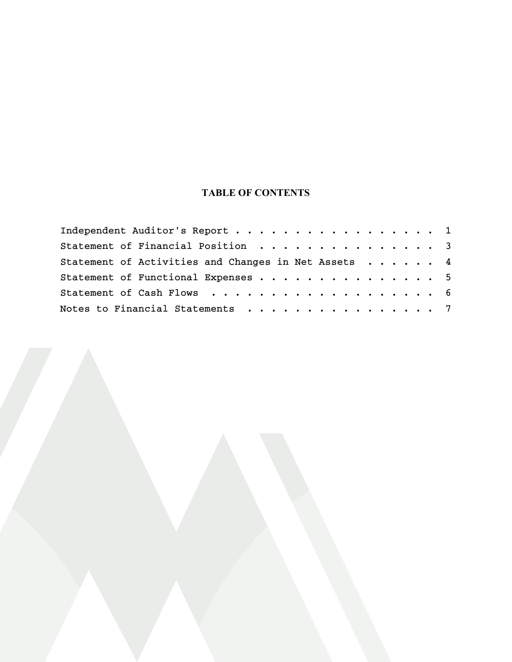### **TABLE OF CONTENTS**

| Independent Auditor's Report 1                      |  |  |  |  |
|-----------------------------------------------------|--|--|--|--|
| Statement of Financial Position 3                   |  |  |  |  |
| Statement of Activities and Changes in Net Assets 4 |  |  |  |  |
| Statement of Functional Expenses 5                  |  |  |  |  |
| Statement of Cash Flows 6                           |  |  |  |  |
| Notes to Financial Statements 7                     |  |  |  |  |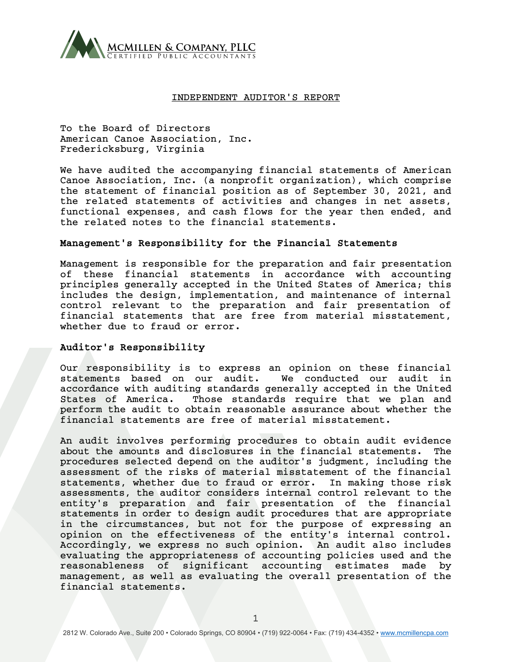

#### INDEPENDENT AUDITOR'S REPORT

To the Board of Directors American Canoe Association, Inc. Fredericksburg, Virginia

We have audited the accompanying financial statements of American Canoe Association, Inc. (a nonprofit organization), which comprise the statement of financial position as of September 30, 2021, and the related statements of activities and changes in net assets, functional expenses, and cash flows for the year then ended, and the related notes to the financial statements.

#### Management's Responsibility for the Financial Statements

Management is responsible for the preparation and fair presentation of these financial statements in accordance with accounting principles generally accepted in the United States of America; this includes the design, implementation, and maintenance of internal control relevant to the preparation and fair presentation of financial statements that are free from material misstatement, whether due to fraud or error.

#### Auditor's Responsibility

Our responsibility is to express an opinion on these financial statements based on our audit. We conducted our audit in accordance with auditing standards generally accepted in the United States of America. Those standards require that we plan and perform the audit to obtain reasonable assurance about whether the financial statements are free of material misstatement.

An audit involves performing procedures to obtain audit evidence about the amounts and disclosures in the financial statements. The procedures selected depend on the auditor's judgment, including the assessment of the risks of material misstatement of the financial statements, whether due to fraud or error. In making those risk assessments, the auditor considers internal control relevant to the entity's preparation and fair presentation of the financial statements in order to design audit procedures that are appropriate in the circumstances, but not for the purpose of expressing an opinion on the effectiveness of the entity's internal control. Accordingly, we express no such opinion. An audit also includes evaluating the appropriateness of accounting policies used and the reasonableness of significant accounting estimates made by management, as well as evaluating the overall presentation of the financial statements.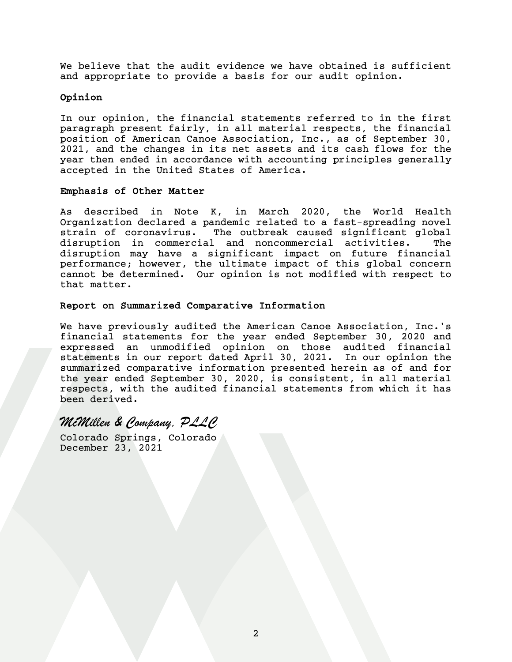We believe that the audit evidence we have obtained is sufficient and appropriate to provide a basis for our audit opinion.

#### Opinion

In our opinion, the financial statements referred to in the first paragraph present fairly, in all material respects, the financial position of American Canoe Association, Inc., as of September 30, 2021, and the changes in its net assets and its cash flows for the year then ended in accordance with accounting principles generally accepted in the United States of America.

#### Emphasis of Other Matter

As described in Note K, in March 2020, the World Health Organization declared a pandemic related to a fast-spreading novel strain of coronavirus. The outbreak caused significant global disruption in commercial and noncommercial activities. The disruption may have a significant impact on future financial performance; however, the ultimate impact of this global concern cannot be determined. Our opinion is not modified with respect to that matter.

#### Report on Summarized Comparative Information

We have previously audited the American Canoe Association, Inc.'s financial statements for the year ended September 30, 2020 and expressed an unmodified opinion on those audited financial statements in our report dated April 30, 2021. In our opinion the summarized comparative information presented herein as of and for the year ended September 30, 2020, is consistent, in all material respects, with the audited financial statements from which it has been derived.

## *McMillen & Company, PLLC*

Colorado Springs, Colorado December 23, 2021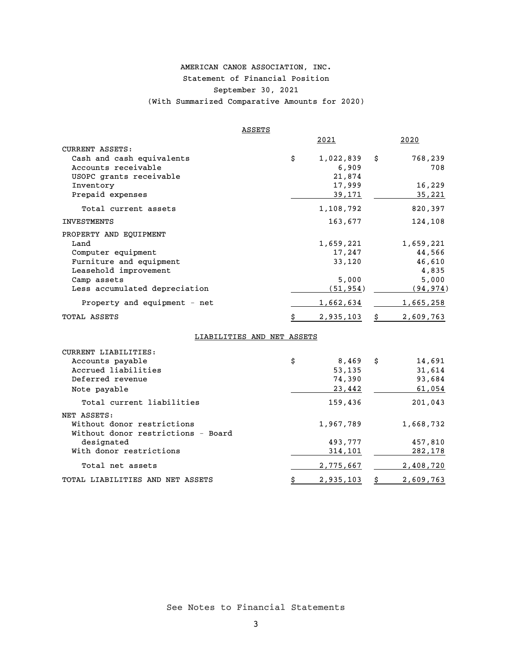### AMERICAN CANOE ASSOCIATION, INC. Statement of Financial Position September 30, 2021 (With Summarized Comparative Amounts for 2020)

|                                                                                                                                                          | ASSETS                     |                                                    |    |                                                             |
|----------------------------------------------------------------------------------------------------------------------------------------------------------|----------------------------|----------------------------------------------------|----|-------------------------------------------------------------|
|                                                                                                                                                          |                            | 2021                                               |    | 2020                                                        |
| CURRENT ASSETS:<br>Cash and cash equivalents<br>Accounts receivable<br>USOPC grants receivable<br>Inventory                                              |                            | \$<br>1,022,839<br>6,909<br>21,874<br>17,999       | \$ | 768,239<br>708<br>16,229                                    |
| Prepaid expenses                                                                                                                                         |                            | 39,171                                             |    | 35,221                                                      |
| Total current assets                                                                                                                                     |                            | 1,108,792                                          |    | 820,397                                                     |
| <b>INVESTMENTS</b>                                                                                                                                       |                            | 163,677                                            |    | 124,108                                                     |
| PROPERTY AND EQUIPMENT<br>Land<br>Computer equipment<br>Furniture and equipment<br>Leasehold improvement<br>Camp assets<br>Less accumulated depreciation |                            | 1,659,221<br>17,247<br>33,120<br>5.000<br>(51,954) |    | 1,659,221<br>44,566<br>46,610<br>4,835<br>5,000<br>(94,974) |
| Property and equipment - net                                                                                                                             |                            | 1,662,634                                          |    | <u>1,665,258</u>                                            |
| TOTAL ASSETS                                                                                                                                             |                            | \$<br>2,935,103                                    | \$ | 2,609,763                                                   |
|                                                                                                                                                          | LIABILITIES AND NET ASSETS |                                                    |    |                                                             |
| CURRENT LIABILITIES:<br>Accounts payable<br>Accrued liabilities<br>Deferred revenue                                                                      |                            | \$<br>8,469<br>53,135<br>74,390                    | Ŝ. | 14,691<br>31,614<br>93,684                                  |

Note payable 23,442 61,054 Total current liabilities 159,436 201,043

Without donor restrictions  $1,967,789$   $1,668,732$ 

TOTAL LIABILITIES AND NET ASSETS  $\frac{1}{5}$  2,935,103 \$ 2,609,763

designated 493,777 457,810 With donor restrictions  $\frac{314,101}{282,178}$ Total net assets 2,775,667 2,408,720

NET ASSETS:

Without donor restrictions - Board

See Notes to Financial Statements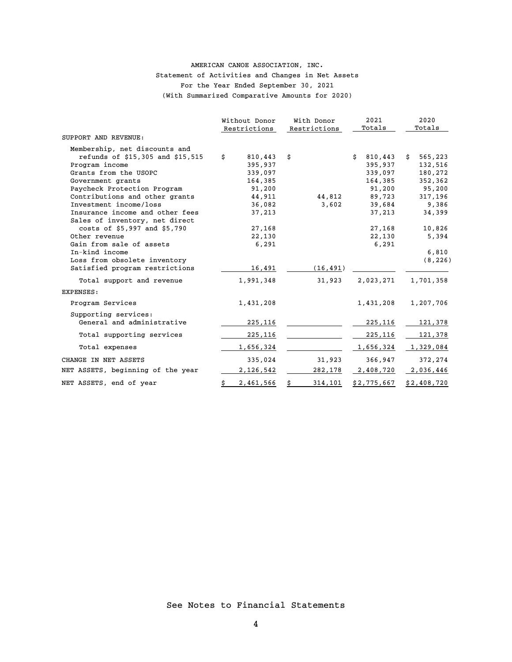#### AMERICAN CANOE ASSOCIATION, INC. Statement of Activities and Changes in Net Assets For the Year Ended September 30, 2021 (With Summarized Comparative Amounts for 2020)

|                                   | Without Donor<br>Restrictions |    | With Donor<br>Restrictions |    | 2021<br>Totals | 2020<br>Totals |
|-----------------------------------|-------------------------------|----|----------------------------|----|----------------|----------------|
| SUPPORT AND REVENUE:              |                               |    |                            |    |                |                |
| Membership, net discounts and     |                               |    |                            |    |                |                |
| refunds of \$15,305 and \$15,515  | \$<br>810,443                 | \$ |                            | Ŝ. | 810,443        | \$<br>565,223  |
| Program income                    | 395,937                       |    |                            |    | 395,937        | 132,516        |
| Grants from the USOPC             | 339,097                       |    |                            |    | 339,097        | 180,272        |
| Government grants                 | 164,385                       |    |                            |    | 164,385        | 352,362        |
| Paycheck Protection Program       | 91,200                        |    |                            |    | 91,200         | 95,200         |
| Contributions and other grants    | 44,911                        |    | 44,812                     |    | 89,723         | 317,196        |
| Investment income/loss            | 36,082                        |    | 3,602                      |    | 39,684         | 9,386          |
| Insurance income and other fees   | 37,213                        |    |                            |    | 37,213         | 34,399         |
| Sales of inventory, net direct    |                               |    |                            |    |                |                |
| costs of \$5,997 and \$5,790      | 27,168                        |    |                            |    | 27,168         | 10,826         |
| Other revenue                     | 22,130                        |    |                            |    | 22,130         | 5,394          |
| Gain from sale of assets          | 6,291                         |    |                            |    | 6,291          |                |
| In-kind income                    |                               |    |                            |    |                | 6,810          |
| Loss from obsolete inventory      |                               |    |                            |    |                | (8, 226)       |
| Satisfied program restrictions    | 16,491                        |    | (16, 491)                  |    |                |                |
| Total support and revenue         | 1,991,348                     |    | 31,923                     |    | 2,023,271      | 1,701,358      |
| EXPENSES:                         |                               |    |                            |    |                |                |
| Program Services                  | 1,431,208                     |    |                            |    | 1,431,208      | 1,207,706      |
| Supporting services:              |                               |    |                            |    |                |                |
| General and administrative        | 225,116                       |    |                            |    | 225,116        | 121,378        |
| Total supporting services         | 225,116                       |    |                            |    | 225,116        | 121,378        |
| Total expenses                    | 1,656,324                     |    |                            |    | 1,656,324      | 1,329,084      |
| CHANGE IN NET ASSETS              | 335,024                       |    | 31,923                     |    | 366,947        | 372,274        |
| NET ASSETS, beginning of the year | 2,126,542                     |    | 282,178                    |    | 2,408,720      | 2,036,446      |
| NET ASSETS, end of year           | 2,461,566                     | Ś  | 314,101                    |    | \$2,775,667    | \$2,408,720    |
|                                   |                               |    |                            |    |                |                |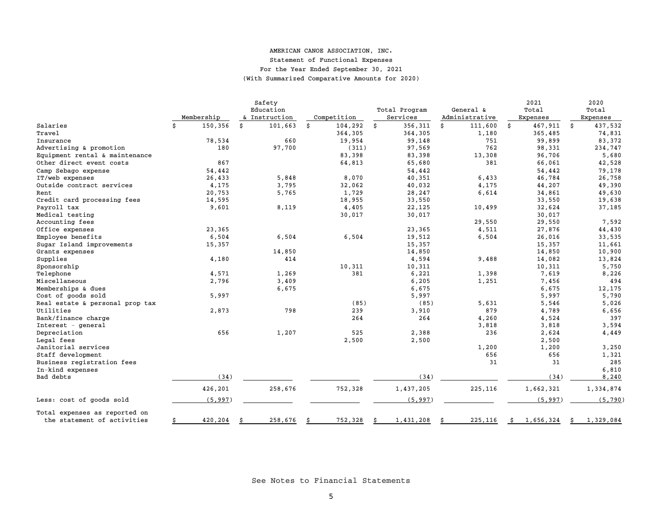#### AMERICAN CANOE ASSOCIATION, INC. Statement of Functional Expenses For the Year Ended September 30, 2021

(With Summarized Comparative Amounts for 2020)

|                                 |               | Safety        |               |                 |                | 2021            | 2020            |
|---------------------------------|---------------|---------------|---------------|-----------------|----------------|-----------------|-----------------|
|                                 |               | Education     |               | Total Program   | General &      | Total           | Total           |
|                                 | Membership    | & Instruction | Competition   | Services        | Administrative | Expenses        | Expenses        |
| Salaries                        | 150,356<br>\$ | \$<br>101,663 | 104,292<br>\$ | 356,311<br>\$   | \$<br>111,600  | 467,911<br>\$   | 437,532<br>\$   |
| Travel                          |               |               | 364,305       | 364,305         | 1,180          | 365,485         | 74,831          |
| Insurance                       | 78,534        | 660           | 19,954        | 99,148          | 751            | 99,899          | 83,372          |
| Advertising & promotion         | 180           | 97,700        | (311)         | 97,569          | 762            | 98,331          | 234,747         |
| Equipment rental & maintenance  |               |               | 83,398        | 83,398          | 13,308         | 96,706          | 5,680           |
| Other direct event costs        | 867           |               | 64,813        | 65,680          | 381            | 66,061          | 42,528          |
| Camp Sebago expense             | 54,442        |               |               | 54,442          |                | 54,442          | 79,178          |
| IT/web expenses                 | 26,433        | 5,848         | 8,070         | 40,351          | 6,433          | 46,784          | 26,758          |
| Outside contract services       | 4,175         | 3,795         | 32,062        | 40,032          | 4,175          | 44,207          | 49,390          |
| Rent                            | 20,753        | 5,765         | 1,729         | 28,247          | 6,614          | 34,861          | 49,630          |
| Credit card processing fees     | 14,595        |               | 18,955        | 33,550          |                | 33,550          | 19,638          |
| Payroll tax                     | 9,601         | 8,119         | 4,405         | 22,125          | 10,499         | 32,624          | 37,185          |
| Medical testing                 |               |               | 30,017        | 30,017          |                | 30,017          |                 |
| Accounting fees                 |               |               |               |                 | 29,550         | 29,550          | 7,592           |
| Office expenses                 | 23,365        |               |               | 23,365          | 4,511          | 27,876          | 44,430          |
| Employee benefits               | 6,504         | 6,504         | 6,504         | 19,512          | 6,504          | 26,016          | 33,535          |
| Sugar Island improvements       | 15,357        |               |               | 15,357          |                | 15,357          | 11,661          |
| Grants expenses                 |               | 14,850        |               | 14,850          |                | 14,850          | 10,900          |
| Supplies                        | 4,180         | 414           |               | 4,594           | 9,488          | 14,082          | 13,824          |
| Sponsorship                     |               |               | 10,311        | 10,311          |                | 10,311          | 5,750           |
| Telephone                       | 4,571         | 1,269         | 381           | 6,221           | 1,398          | 7,619           | 8,226           |
| Miscellaneous                   | 2,796         | 3,409         |               | 6,205           | 1,251          | 7,456           | 494             |
| Memberships & dues              |               | 6,675         |               | 6,675           |                | 6,675           | 12,175          |
| Cost of goods sold              | 5,997         |               |               | 5,997           |                | 5,997           | 5,790           |
| Real estate & personal prop tax |               |               | (85)          | (85)            | 5,631          | 5,546           | 5,026           |
| Utilities                       | 2,873         | 798           | 239           | 3,910           | 879            | 4,789           | 6,656           |
| Bank/finance charge             |               |               | 264           | 264             | 4,260          | 4,524           | 397             |
| Interest - general              |               |               |               |                 | 3,818          | 3,818           | 3,594           |
| Depreciation                    | 656           | 1,207         | 525           | 2,388           | 236            | 2,624           | 4,449           |
| Legal fees                      |               |               | 2,500         | 2,500           |                | 2,500           |                 |
| Janitorial services             |               |               |               |                 | 1,200          | 1,200           | 3,250           |
| Staff development               |               |               |               |                 | 656            | 656             | 1,321           |
| Business registration fees      |               |               |               |                 | 31             | 31              | 285             |
| In-kind expenses                |               |               |               |                 |                |                 | 6,810           |
| Bad debts                       | (34)          |               |               | (34)            |                | (34)            | 8,240           |
|                                 | 426,201       | 258,676       | 752,328       | 1,437,205       | 225,116        | 1,662,321       | 1,334,874       |
| Less: cost of goods sold        | (5, 997)      |               |               | (5, 997)        |                | (5, 997)        | (5, 790)        |
| Total expenses as reported on   |               |               |               |                 |                |                 |                 |
| the statement of activities     | 420,204<br>\$ | 258,676       | 752,328       | 1,431,208<br>\$ | 225,116<br>Ŝ   | 1,656,324<br>\$ | 1,329,084<br>\$ |

See Notes to Financial Statements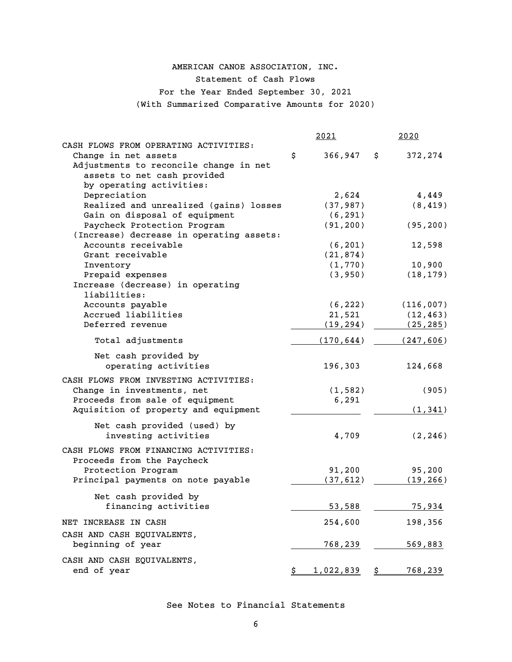## AMERICAN CANOE ASSOCIATION, INC.

Statement of Cash Flows

For the Year Ended September 30, 2021

(With Summarized Comparative Amounts for 2020)

|                                          | <u> 2021</u>         | <u>2020</u>    |
|------------------------------------------|----------------------|----------------|
| CASH FLOWS FROM OPERATING ACTIVITIES:    |                      |                |
| Change in net assets                     | \$<br>366,947        | 372,274<br>\$. |
| Adjustments to reconcile change in net   |                      |                |
| assets to net cash provided              |                      |                |
| by operating activities:                 |                      |                |
| Depreciation                             | 2,624                | 4,449          |
| Realized and unrealized (gains) losses   | (37, 987)            | (8, 419)       |
| Gain on disposal of equipment            | (6, 291)             |                |
| Paycheck Protection Program              | (91, 200)            | (95, 200)      |
| (Increase) decrease in operating assets: |                      |                |
| Accounts receivable                      | (6, 201)             | 12,598         |
| Grant receivable                         | (21, 874)            |                |
| Inventory                                | (1, 770)             | 10,900         |
| Prepaid expenses                         | (3, 950)             | (18, 179)      |
| Increase (decrease) in operating         |                      |                |
| liabilities:                             |                      |                |
| Accounts payable                         | (6, 222)             | (116,007)      |
| Accrued liabilities                      | 21,521               | (12, 463)      |
| Deferred revenue                         | (19, 294)            | (25, 285)      |
| Total adjustments                        | (170, 644)           | (247, 606)     |
| Net cash provided by                     |                      |                |
| operating activities                     | 196,303              | 124,668        |
| CASH FLOWS FROM INVESTING ACTIVITIES:    |                      |                |
| Change in investments, net               | (1, 582)             | (905)          |
| Proceeds from sale of equipment          | 6,291                |                |
| Aquisition of property and equipment     |                      | (1, 341)       |
|                                          |                      |                |
| Net cash provided (used) by              |                      |                |
| investing activities                     | 4,709                | (2, 246)       |
| CASH FLOWS FROM FINANCING ACTIVITIES:    |                      |                |
| Proceeds from the Paycheck               |                      |                |
| Protection Program                       | 91,200               | 95,200         |
| Principal payments on note payable       | (37, 612)            | (19, 266)      |
|                                          |                      |                |
| Net cash provided by                     |                      |                |
| financing activities                     | 53,588               | 75,934         |
| NET INCREASE IN CASH                     | 254,600              | 198,356        |
| CASH AND CASH EQUIVALENTS,               |                      |                |
| beginning of year                        | <u>768,239</u>       | 569,883        |
|                                          |                      |                |
| CASH AND CASH EQUIVALENTS,               |                      |                |
| end of year                              | $1,022,839$ \$<br>\$ | 768,239        |

See Notes to Financial Statements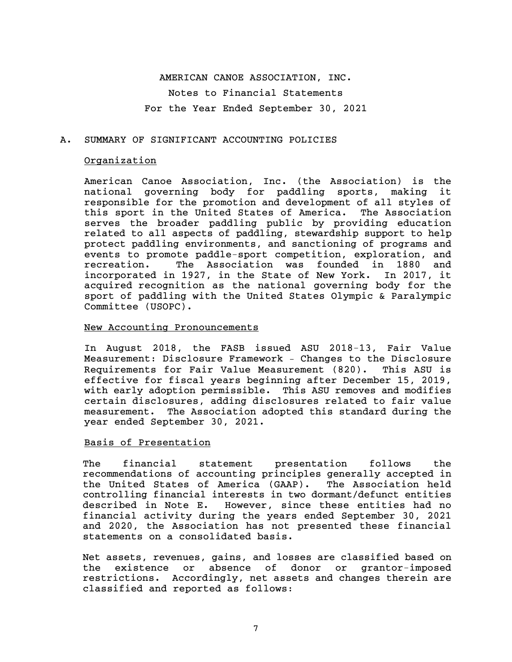### AMERICAN CANOE ASSOCIATION, INC. Notes to Financial Statements For the Year Ended September 30, 2021

#### A. SUMMARY OF SIGNIFICANT ACCOUNTING POLICIES

#### Organization

American Canoe Association, Inc. (the Association) is the national governing body for paddling sports, making it responsible for the promotion and development of all styles of this sport in the United States of America. The Association serves the broader paddling public by providing education related to all aspects of paddling, stewardship support to help protect paddling environments, and sanctioning of programs and events to promote paddle-sport competition, exploration, and recreation. The Association was founded in 1880 and incorporated in 1927, in the State of New York. In 2017, it acquired recognition as the national governing body for the sport of paddling with the United States Olympic & Paralympic Committee (USOPC).

#### New Accounting Pronouncements

In August 2018, the FASB issued ASU 2018-13, Fair Value Measurement: Disclosure Framework – Changes to the Disclosure Requirements for Fair Value Measurement (820). This ASU is effective for fiscal years beginning after December 15, 2019, with early adoption permissible. This ASU removes and modifies certain disclosures, adding disclosures related to fair value measurement. The Association adopted this standard during the year ended September 30, 2021.

#### Basis of Presentation

The financial statement presentation follows the recommendations of accounting principles generally accepted in the United States of America (GAAP). The Association held controlling financial interests in two dormant/defunct entities described in Note E. However, since these entities had no financial activity during the years ended September 30, 2021 and 2020, the Association has not presented these financial statements on a consolidated basis.

Net assets, revenues, gains, and losses are classified based on the existence or absence of donor or grantor-imposed restrictions. Accordingly, net assets and changes therein are classified and reported as follows: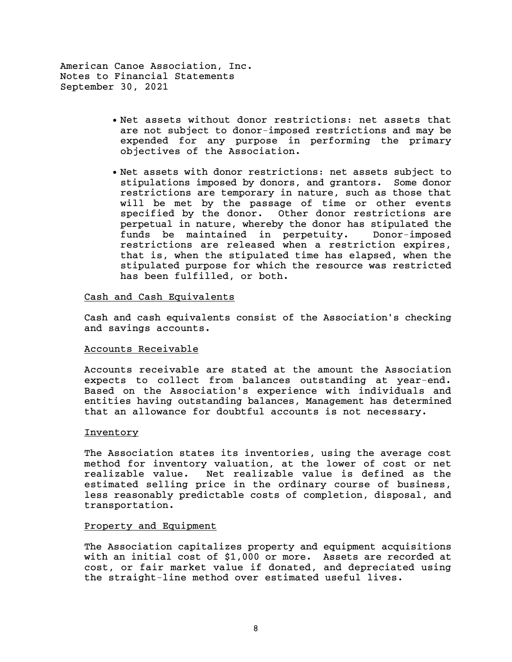- Net assets without donor restrictions: net assets that are not subject to donor-imposed restrictions and may be expended for any purpose in performing the primary objectives of the Association.
- Net assets with donor restrictions: net assets subject to stipulations imposed by donors, and grantors. Some donor restrictions are temporary in nature, such as those that will be met by the passage of time or other events specified by the donor. Other donor restrictions are perpetual in nature, whereby the donor has stipulated the funds be maintained in perpetuity. Donor-imposed restrictions are released when a restriction expires, that is, when the stipulated time has elapsed, when the stipulated purpose for which the resource was restricted has been fulfilled, or both.

#### Cash and Cash Equivalents

Cash and cash equivalents consist of the Association's checking and savings accounts.

#### Accounts Receivable

Accounts receivable are stated at the amount the Association expects to collect from balances outstanding at year-end. Based on the Association's experience with individuals and entities having outstanding balances, Management has determined that an allowance for doubtful accounts is not necessary.

#### Inventory

The Association states its inventories, using the average cost method for inventory valuation, at the lower of cost or net realizable value. Net realizable value is defined as the estimated selling price in the ordinary course of business, less reasonably predictable costs of completion, disposal, and transportation.

#### Property and Equipment

The Association capitalizes property and equipment acquisitions with an initial cost of \$1,000 or more. Assets are recorded at cost, or fair market value if donated, and depreciated using the straight-line method over estimated useful lives.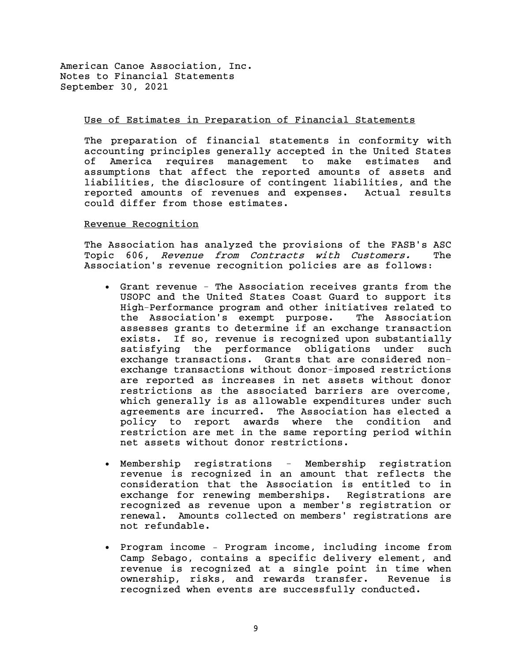#### Use of Estimates in Preparation of Financial Statements

The preparation of financial statements in conformity with accounting principles generally accepted in the United States of America requires management to make estimates and assumptions that affect the reported amounts of assets and liabilities, the disclosure of contingent liabilities, and the reported amounts of revenues and expenses. Actual results could differ from those estimates.

#### Revenue Recognition

The Association has analyzed the provisions of the FASB's ASC Topic 606, Revenue from Contracts with Customers. The Association's revenue recognition policies are as follows:

- Grant revenue The Association receives grants from the USOPC and the United States Coast Guard to support its High-Performance program and other initiatives related to the Association's exempt purpose. The Association assesses grants to determine if an exchange transaction exists. If so, revenue is recognized upon substantially satisfying the performance obligations under such exchange transactions. Grants that are considered nonexchange transactions without donor-imposed restrictions are reported as increases in net assets without donor restrictions as the associated barriers are overcome, which generally is as allowable expenditures under such agreements are incurred. The Association has elected a policy to report awards where the condition and restriction are met in the same reporting period within net assets without donor restrictions.
- Membership registrations Membership registration revenue is recognized in an amount that reflects the consideration that the Association is entitled to in exchange for renewing memberships. Registrations are recognized as revenue upon a member's registration or renewal. Amounts collected on members' registrations are not refundable.
- Program income Program income, including income from Camp Sebago, contains a specific delivery element, and revenue is recognized at a single point in time when ownership, risks, and rewards transfer. Revenue is recognized when events are successfully conducted.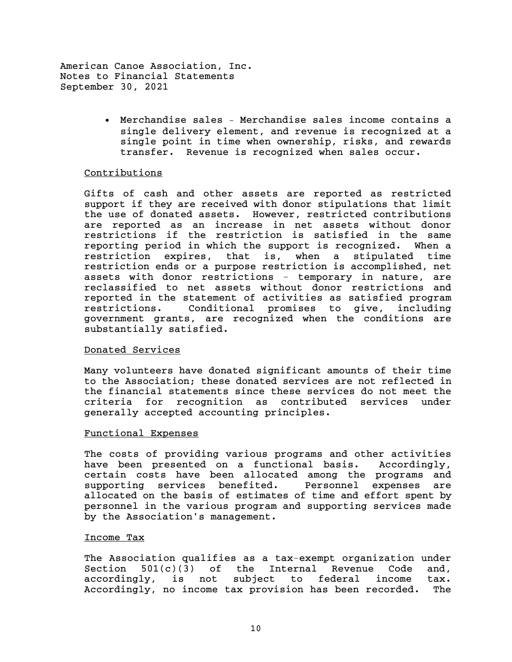> • Merchandise sales – Merchandise sales income contains a single delivery element, and revenue is recognized at a single point in time when ownership, risks, and rewards transfer. Revenue is recognized when sales occur.

#### Contributions

Gifts of cash and other assets are reported as restricted support if they are received with donor stipulations that limit the use of donated assets. However, restricted contributions are reported as an increase in net assets without donor restrictions if the restriction is satisfied in the same reporting period in which the support is recognized. When a restriction expires, that is, when a stipulated time restriction ends or a purpose restriction is accomplished, net assets with donor restrictions - temporary in nature, are reclassified to net assets without donor restrictions and reported in the statement of activities as satisfied program restrictions. Conditional promises to give, including government grants, are recognized when the conditions are substantially satisfied.

#### Donated Services

Many volunteers have donated significant amounts of their time to the Association; these donated services are not reflected in the financial statements since these services do not meet the criteria for recognition as contributed services under generally accepted accounting principles.

#### Functional Expenses

The costs of providing various programs and other activities have been presented on a functional basis. Accordingly, certain costs have been allocated among the programs and supporting services benefited. Personnel expenses are allocated on the basis of estimates of time and effort spent by personnel in the various program and supporting services made by the Association's management.

#### Income Tax

The Association qualifies as a tax-exempt organization under Section  $501(c)(3)$  of the Internal Revenue Code and, accordingly, is not subject to federal income tax. Accordingly, no income tax provision has been recorded. The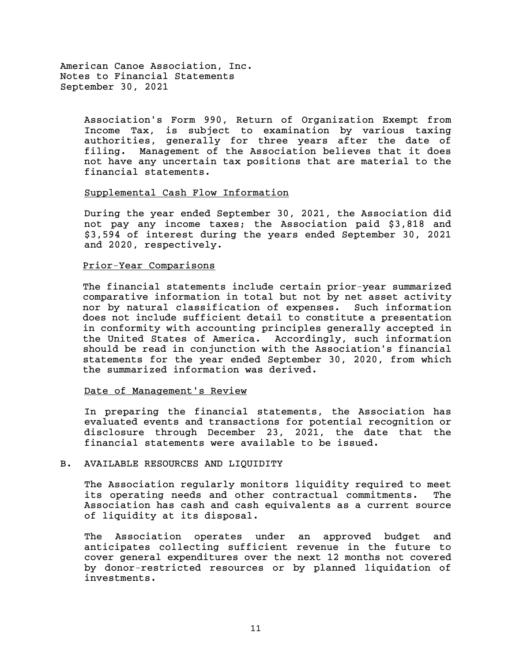> Association's Form 990, Return of Organization Exempt from Income Tax, is subject to examination by various taxing authorities, generally for three years after the date of filing. Management of the Association believes that it does not have any uncertain tax positions that are material to the financial statements.

#### Supplemental Cash Flow Information

During the year ended September 30, 2021, the Association did not pay any income taxes; the Association paid \$3,818 and \$3,594 of interest during the years ended September 30, 2021 and 2020, respectively.

#### Prior-Year Comparisons

The financial statements include certain prior-year summarized comparative information in total but not by net asset activity nor by natural classification of expenses. Such information does not include sufficient detail to constitute a presentation in conformity with accounting principles generally accepted in the United States of America. Accordingly, such information should be read in conjunction with the Association's financial statements for the year ended September 30, 2020, from which the summarized information was derived.

#### Date of Management's Review

In preparing the financial statements, the Association has evaluated events and transactions for potential recognition or disclosure through December 23, 2021, the date that the financial statements were available to be issued.

#### B. AVAILABLE RESOURCES AND LIQUIDITY

The Association regularly monitors liquidity required to meet its operating needs and other contractual commitments. The Association has cash and cash equivalents as a current source of liquidity at its disposal.

The Association operates under an approved budget and anticipates collecting sufficient revenue in the future to cover general expenditures over the next 12 months not covered by donor-restricted resources or by planned liquidation of investments.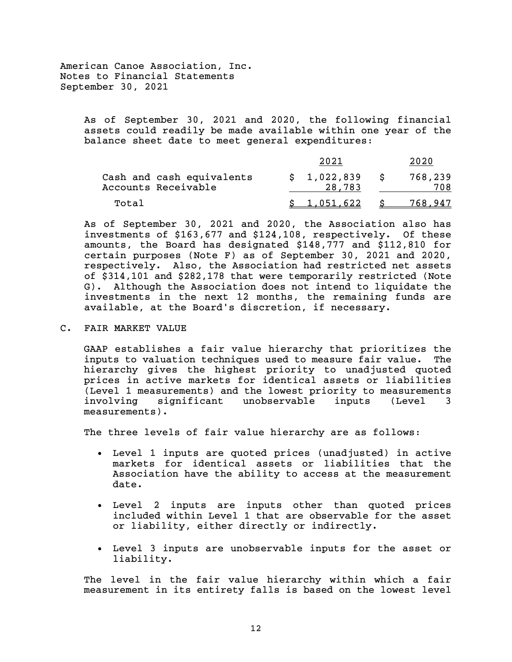> As of September 30, 2021 and 2020, the following financial assets could readily be made available within one year of the balance sheet date to meet general expenditures:

|                                                  | 2021                  | 2020           |
|--------------------------------------------------|-----------------------|----------------|
| Cash and cash equivalents<br>Accounts Receivable | \$1,022,839<br>28,783 | 768,239<br>708 |
| Total                                            | \$1.051.622           | 768.947        |

As of September 30, 2021 and 2020, the Association also has investments of \$163,677 and \$124,108, respectively. Of these amounts, the Board has designated \$148,777 and \$112,810 for certain purposes (Note F) as of September 30, 2021 and 2020, respectively. Also, the Association had restricted net assets of \$314,101 and \$282,178 that were temporarily restricted (Note G). Although the Association does not intend to liquidate the investments in the next 12 months, the remaining funds are available, at the Board's discretion, if necessary.

C. FAIR MARKET VALUE

GAAP establishes a fair value hierarchy that prioritizes the inputs to valuation techniques used to measure fair value. The hierarchy gives the highest priority to unadjusted quoted prices in active markets for identical assets or liabilities (Level 1 measurements) and the lowest priority to measurements involving significant unobservable inputs (Level 3 measurements).

The three levels of fair value hierarchy are as follows:

- Level 1 inputs are quoted prices (unadjusted) in active markets for identical assets or liabilities that the Association have the ability to access at the measurement date.
- Level 2 inputs are inputs other than quoted prices included within Level 1 that are observable for the asset or liability, either directly or indirectly.
- Level 3 inputs are unobservable inputs for the asset or liability.

The level in the fair value hierarchy within which a fair measurement in its entirety falls is based on the lowest level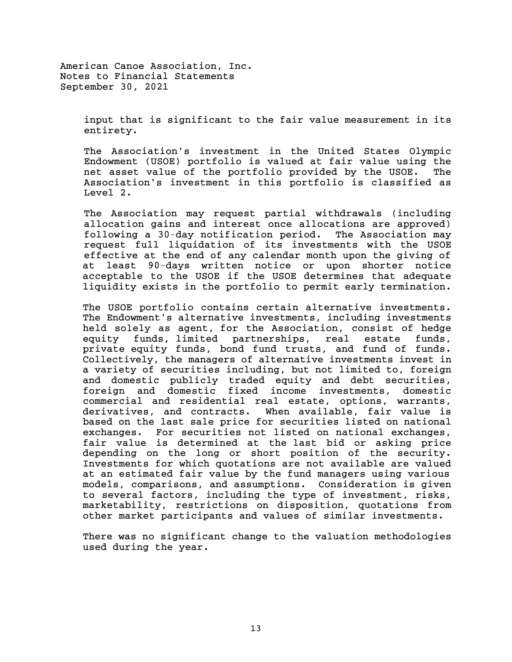> input that is significant to the fair value measurement in its entirety.

> The Association's investment in the United States Olympic Endowment (USOE) portfolio is valued at fair value using the net asset value of the portfolio provided by the USOE. The Association's investment in this portfolio is classified as Level 2.

> The Association may request partial withdrawals (including allocation gains and interest once allocations are approved) following a 30-day notification period. The Association may request full liquidation of its investments with the USOE effective at the end of any calendar month upon the giving of at least 90-days written notice or upon shorter notice acceptable to the USOE if the USOE determines that adequate liquidity exists in the portfolio to permit early termination.

> The USOE portfolio contains certain alternative investments. The Endowment's alternative investments, including investments held solely as agent, for the Association, consist of hedge equity funds, limited partnerships, real estate funds, private equity funds, bond fund trusts, and fund of funds. Collectively, the managers of alternative investments invest in a variety of securities including, but not limited to, foreign and domestic publicly traded equity and debt securities, foreign and domestic fixed income investments, domestic commercial and residential real estate, options, warrants, derivatives, and contracts. When available, fair value is based on the last sale price for securities listed on national exchanges. For securities not listed on national exchanges, fair value is determined at the last bid or asking price depending on the long or short position of the security. Investments for which quotations are not available are valued at an estimated fair value by the fund managers using various models, comparisons, and assumptions. Consideration is given to several factors, including the type of investment, risks, marketability, restrictions on disposition, quotations from other market participants and values of similar investments.

> There was no significant change to the valuation methodologies used during the year.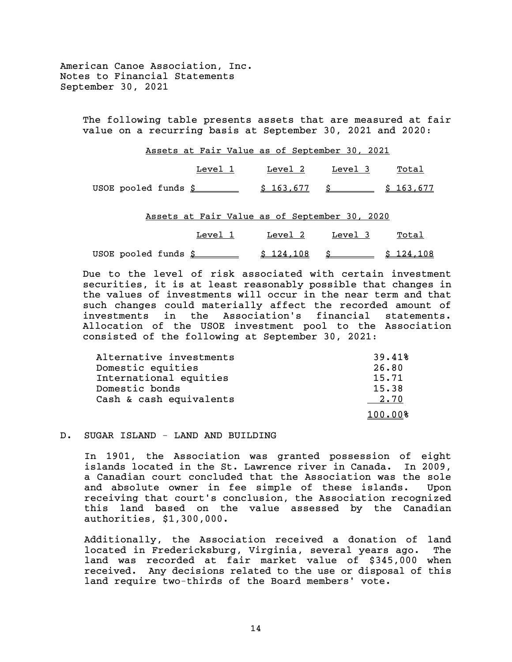> The following table presents assets that are measured at fair value on a recurring basis at September 30, 2021 and 2020:

|                                           | Assets at Fair Value as of September 30, 2021 |         |         |       |
|-------------------------------------------|-----------------------------------------------|---------|---------|-------|
|                                           | Level 1                                       | Level 2 | Level 3 | Total |
| USOE pooled funds $$ 163,677$ $$ 163,677$ |                                               |         |         |       |

Assets at Fair Value as of September 30, 2020

| Level 1               | Level 2 | Level 3                                    | Total |
|-----------------------|---------|--------------------------------------------|-------|
| USOE pooled funds $$$ |         | $\frac{124.108}{5}$ \$ $\frac{124.108}{5}$ |       |

Due to the level of risk associated with certain investment securities, it is at least reasonably possible that changes in the values of investments will occur in the near term and that such changes could materially affect the recorded amount of investments in the Association's financial statements. Allocation of the USOE investment pool to the Association consisted of the following at September 30, 2021:

| Alternative investments | 39.41%  |
|-------------------------|---------|
| Domestic equities       | 26.80   |
| International equities  | 15.71   |
| Domestic bonds          | 15.38   |
| Cash & cash equivalents | 2.70    |
|                         | 100.00% |

#### D. SUGAR ISLAND - LAND AND BUILDING

In 1901, the Association was granted possession of eight islands located in the St. Lawrence river in Canada. In 2009, a Canadian court concluded that the Association was the sole and absolute owner in fee simple of these islands. Upon receiving that court's conclusion, the Association recognized this land based on the value assessed by the Canadian authorities, \$1,300,000.

Additionally, the Association received a donation of land located in Fredericksburg, Virginia, several years ago. The land was recorded at fair market value of \$345,000 when received. Any decisions related to the use or disposal of this land require two-thirds of the Board members' vote.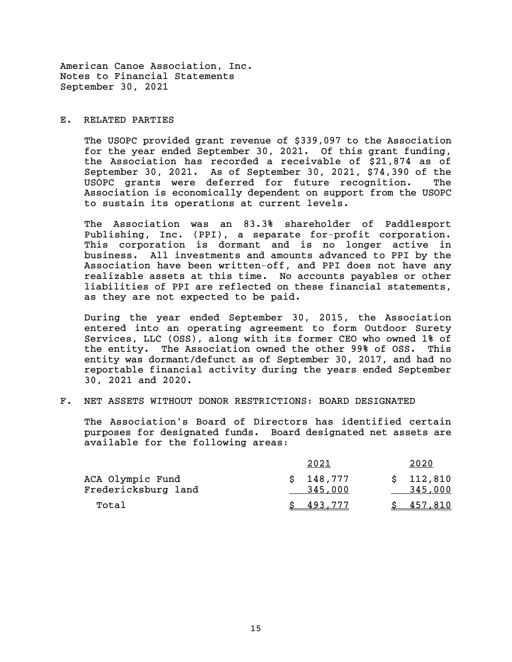#### E. RELATED PARTIES

The USOPC provided grant revenue of \$339,097 to the Association for the year ended September 30, 2021. Of this grant funding, the Association has recorded a receivable of \$21,874 as of September 30, 2021. As of September 30, 2021, \$74,390 of the USOPC grants were deferred for future recognition. The Association is economically dependent on support from the USOPC to sustain its operations at current levels.

The Association was an 83.3% shareholder of Paddlesport Publishing, Inc. (PPI), a separate for-profit corporation. This corporation is dormant and is no longer active in business. All investments and amounts advanced to PPI by the Association have been written-off, and PPI does not have any realizable assets at this time. No accounts payables or other liabilities of PPI are reflected on these financial statements, as they are not expected to be paid.

During the year ended September 30, 2015, the Association entered into an operating agreement to form Outdoor Surety Services, LLC (OSS), along with its former CEO who owned 1% of the entity. The Association owned the other 99% of OSS. This entity was dormant/defunct as of September 30, 2017, and had no reportable financial activity during the years ended September 30, 2021 and 2020.

#### F. NET ASSETS WITHOUT DONOR RESTRICTIONS: BOARD DESIGNATED

The Association's Board of Directors has identified certain purposes for designated funds. Board designated net assets are available for the following areas:

|                     | 2021      | 2020      |
|---------------------|-----------|-----------|
| ACA Olympic Fund    | \$148,777 | \$112,810 |
| Fredericksburg land | 345,000   | 345,000   |
| Total               | S 493,777 | \$457.810 |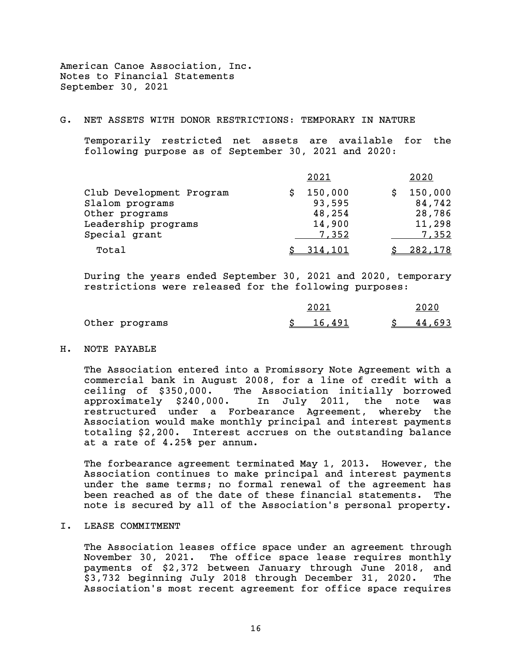#### G. NET ASSETS WITH DONOR RESTRICTIONS: TEMPORARY IN NATURE

Temporarily restricted net assets are available for the following purpose as of September 30, 2021 and 2020:

|                                                                                                       | 2021                                           | 2020                                           |
|-------------------------------------------------------------------------------------------------------|------------------------------------------------|------------------------------------------------|
| Club Development Program<br>Slalom programs<br>Other programs<br>Leadership programs<br>Special grant | 150,000<br>93,595<br>48,254<br>14,900<br>7,352 | 150,000<br>84,742<br>28,786<br>11,298<br>7,352 |
| Total                                                                                                 | <u>314,101</u>                                 | 282,178                                        |

During the years ended September 30, 2021 and 2020, temporary restrictions were released for the following purposes:

|                | 2021     | 2020   |
|----------------|----------|--------|
| Other programs | \$16,491 | 44,693 |

#### H. NOTE PAYABLE

The Association entered into a Promissory Note Agreement with a commercial bank in August 2008, for a line of credit with a ceiling of \$350,000. The Association initially borrowed<br>approximately \$240,000. In July 2011, the note was In July 2011, the note was restructured under a Forbearance Agreement, whereby the Association would make monthly principal and interest payments totaling \$2,200. Interest accrues on the outstanding balance at a rate of 4.25% per annum.

The forbearance agreement terminated May 1, 2013. However, the Association continues to make principal and interest payments under the same terms; no formal renewal of the agreement has been reached as of the date of these financial statements. The note is secured by all of the Association's personal property.

#### I. LEASE COMMITMENT

The Association leases office space under an agreement through November 30, 2021. The office space lease requires monthly payments of \$2,372 between January through June 2018, and \$3,732 beginning July 2018 through December 31, 2020. The Association's most recent agreement for office space requires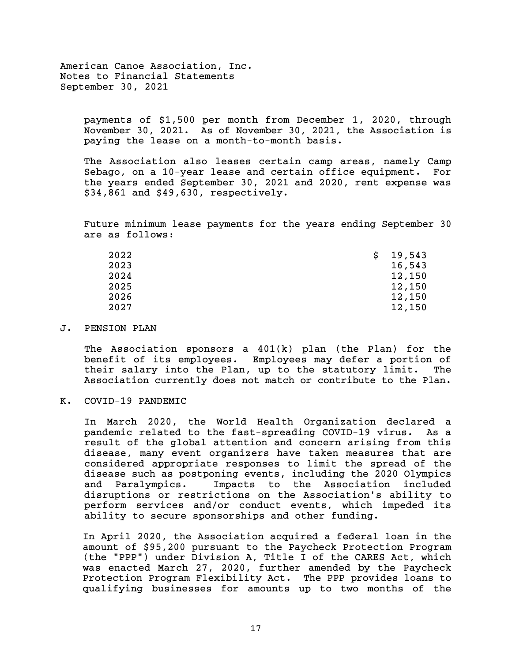> payments of \$1,500 per month from December 1, 2020, through November 30, 2021. As of November 30, 2021, the Association is paying the lease on a month-to-month basis.

> The Association also leases certain camp areas, namely Camp Sebago, on a 10-year lease and certain office equipment. For the years ended September 30, 2021 and 2020, rent expense was \$34,861 and \$49,630, respectively.

> Future minimum lease payments for the years ending September 30 are as follows:

| 2022 | 19,543 |
|------|--------|
| 2023 | 16,543 |
| 2024 | 12,150 |
| 2025 | 12,150 |
| 2026 | 12,150 |
| 2027 | 12,150 |

#### J. PENSION PLAN

The Association sponsors a  $401(k)$  plan (the Plan) for the benefit of its employees. Employees may defer a portion of their salary into the Plan, up to the statutory limit. The Association currently does not match or contribute to the Plan.

#### K. COVID-19 PANDEMIC

In March 2020, the World Health Organization declared a pandemic related to the fast-spreading COVID-19 virus. As a result of the global attention and concern arising from this disease, many event organizers have taken measures that are considered appropriate responses to limit the spread of the disease such as postponing events, including the 2020 Olympics and Paralympics. Impacts to the Association included disruptions or restrictions on the Association's ability to perform services and/or conduct events, which impeded its ability to secure sponsorships and other funding.

In April 2020, the Association acquired a federal loan in the amount of \$95,200 pursuant to the Paycheck Protection Program (the "PPP") under Division A, Title I of the CARES Act, which was enacted March 27, 2020, further amended by the Paycheck Protection Program Flexibility Act. The PPP provides loans to qualifying businesses for amounts up to two months of the